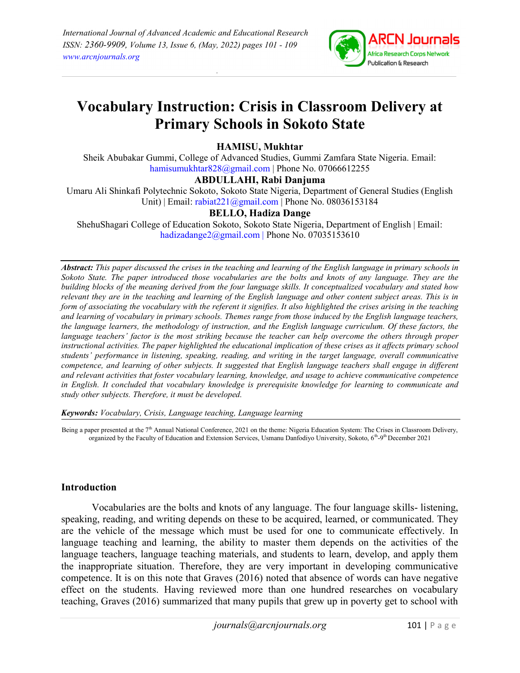

# Vocabulary Instruction: Crisis in Classroom Delivery at Primary Schools in Sokoto State

## HAMISU, Mukhtar

Sheik Abubakar Gummi, College of Advanced Studies, Gummi Zamfara State Nigeria. Email: hamisumukhtar828@gmail.com | Phone No. 07066612255

#### ABDULLAHI, Rabi Danjuma

Umaru Ali Shinkafi Polytechnic Sokoto, Sokoto State Nigeria, Department of General Studies (English Unit) | Email: rabiat221@gmail.com | Phone No. 08036153184

## BELLO, Hadiza Dange

ShehuShagari College of Education Sokoto, Sokoto State Nigeria, Department of English | Email: hadizadange2@gmail.com | Phone No. 07035153610

Abstract: This paper discussed the crises in the teaching and learning of the English language in primary schools in Sokoto State. The paper introduced those vocabularies are the bolts and knots of any language. They are the building blocks of the meaning derived from the four language skills. It conceptualized vocabulary and stated how relevant they are in the teaching and learning of the English language and other content subject areas. This is in form of associating the vocabulary with the referent it signifies. It also highlighted the crises arising in the teaching and learning of vocabulary in primary schools. Themes range from those induced by the English language teachers, the language learners, the methodology of instruction, and the English language curriculum. Of these factors, the language teachers' factor is the most striking because the teacher can help overcome the others through proper instructional activities. The paper highlighted the educational implication of these crises as it affects primary school students' performance in listening, speaking, reading, and writing in the target language, overall communicative competence, and learning of other subjects. It suggested that English language teachers shall engage in different and relevant activities that foster vocabulary learning, knowledge, and usage to achieve communicative competence in English. It concluded that vocabulary knowledge is prerequisite knowledge for learning to communicate and study other subjects. Therefore, it must be developed.

Keywords: Vocabulary, Crisis, Language teaching, Language learning

Being a paper presented at the 7<sup>th</sup> Annual National Conference, 2021 on the theme: Nigeria Education System: The Crises in Classroom Delivery, organized by the Faculty of Education and Extension Services, Usmanu Danfodiyo University, Sokoto, 6th-9th December 2021

#### Introduction

Vocabularies are the bolts and knots of any language. The four language skills- listening, speaking, reading, and writing depends on these to be acquired, learned, or communicated. They are the vehicle of the message which must be used for one to communicate effectively. In language teaching and learning, the ability to master them depends on the activities of the language teachers, language teaching materials, and students to learn, develop, and apply them the inappropriate situation. Therefore, they are very important in developing communicative competence. It is on this note that Graves (2016) noted that absence of words can have negative effect on the students. Having reviewed more than one hundred researches on vocabulary teaching, Graves (2016) summarized that many pupils that grew up in poverty get to school with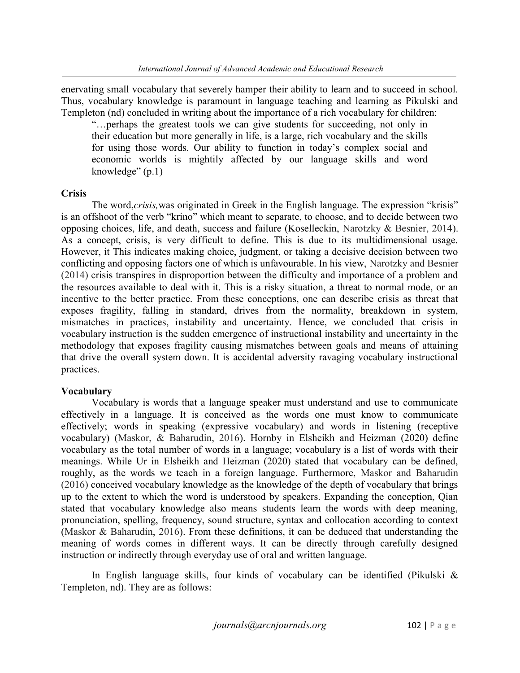enervating small vocabulary that severely hamper their ability to learn and to succeed in school. Thus, vocabulary knowledge is paramount in language teaching and learning as Pikulski and Templeton (nd) concluded in writing about the importance of a rich vocabulary for children:

"…perhaps the greatest tools we can give students for succeeding, not only in their education but more generally in life, is a large, rich vocabulary and the skills for using those words. Our ability to function in today's complex social and economic worlds is mightily affected by our language skills and word knowledge" (p.1)

#### Crisis

The word, crisis, was originated in Greek in the English language. The expression "krisis" is an offshoot of the verb "krino" which meant to separate, to choose, and to decide between two opposing choices, life, and death, success and failure (Koselleckin, Narotzky & Besnier, 2014). As a concept, crisis, is very difficult to define. This is due to its multidimensional usage. However, it This indicates making choice, judgment, or taking a decisive decision between two conflicting and opposing factors one of which is unfavourable. In his view, Narotzky and Besnier (2014) crisis transpires in disproportion between the difficulty and importance of a problem and the resources available to deal with it. This is a risky situation, a threat to normal mode, or an incentive to the better practice. From these conceptions, one can describe crisis as threat that exposes fragility, falling in standard, drives from the normality, breakdown in system, mismatches in practices, instability and uncertainty. Hence, we concluded that crisis in vocabulary instruction is the sudden emergence of instructional instability and uncertainty in the methodology that exposes fragility causing mismatches between goals and means of attaining that drive the overall system down. It is accidental adversity ravaging vocabulary instructional practices.

## Vocabulary

Vocabulary is words that a language speaker must understand and use to communicate effectively in a language. It is conceived as the words one must know to communicate effectively; words in speaking (expressive vocabulary) and words in listening (receptive vocabulary) (Maskor, & Baharudin, 2016). Hornby in Elsheikh and Heizman (2020) define vocabulary as the total number of words in a language; vocabulary is a list of words with their meanings. While Ur in Elsheikh and Heizman (2020) stated that vocabulary can be defined, roughly, as the words we teach in a foreign language. Furthermore, Maskor and Baharudin (2016) conceived vocabulary knowledge as the knowledge of the depth of vocabulary that brings up to the extent to which the word is understood by speakers. Expanding the conception, Qian stated that vocabulary knowledge also means students learn the words with deep meaning, pronunciation, spelling, frequency, sound structure, syntax and collocation according to context (Maskor & Baharudin, 2016). From these definitions, it can be deduced that understanding the meaning of words comes in different ways. It can be directly through carefully designed instruction or indirectly through everyday use of oral and written language.

In English language skills, four kinds of vocabulary can be identified (Pikulski & Templeton, nd). They are as follows: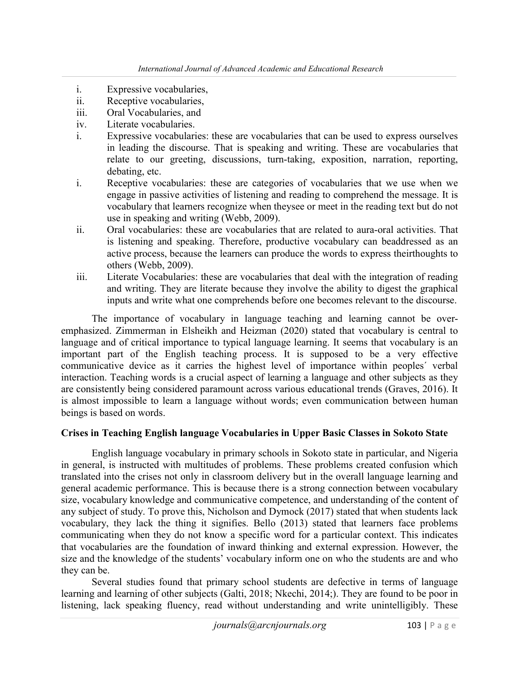- i. Expressive vocabularies,
- ii. Receptive vocabularies,
- iii. Oral Vocabularies, and
- iv. Literate vocabularies.
- i. Expressive vocabularies: these are vocabularies that can be used to express ourselves in leading the discourse. That is speaking and writing. These are vocabularies that relate to our greeting, discussions, turn-taking, exposition, narration, reporting, debating, etc.
- i. Receptive vocabularies: these are categories of vocabularies that we use when we engage in passive activities of listening and reading to comprehend the message. It is vocabulary that learners recognize when theysee or meet in the reading text but do not use in speaking and writing (Webb, 2009).
- ii. Oral vocabularies: these are vocabularies that are related to aura-oral activities. That is listening and speaking. Therefore, productive vocabulary can beaddressed as an active process, because the learners can produce the words to express theirthoughts to others (Webb, 2009).
- iii. Literate Vocabularies: these are vocabularies that deal with the integration of reading and writing. They are literate because they involve the ability to digest the graphical inputs and write what one comprehends before one becomes relevant to the discourse.

The importance of vocabulary in language teaching and learning cannot be overemphasized. Zimmerman in Elsheikh and Heizman (2020) stated that vocabulary is central to language and of critical importance to typical language learning. It seems that vocabulary is an important part of the English teaching process. It is supposed to be a very effective communicative device as it carries the highest level of importance within peoples´ verbal interaction. Teaching words is a crucial aspect of learning a language and other subjects as they are consistently being considered paramount across various educational trends (Graves, 2016). It is almost impossible to learn a language without words; even communication between human beings is based on words.

## Crises in Teaching English language Vocabularies in Upper Basic Classes in Sokoto State

English language vocabulary in primary schools in Sokoto state in particular, and Nigeria in general, is instructed with multitudes of problems. These problems created confusion which translated into the crises not only in classroom delivery but in the overall language learning and general academic performance. This is because there is a strong connection between vocabulary size, vocabulary knowledge and communicative competence, and understanding of the content of any subject of study. To prove this, Nicholson and Dymock (2017) stated that when students lack vocabulary, they lack the thing it signifies. Bello (2013) stated that learners face problems communicating when they do not know a specific word for a particular context. This indicates that vocabularies are the foundation of inward thinking and external expression. However, the size and the knowledge of the students' vocabulary inform one on who the students are and who they can be.

Several studies found that primary school students are defective in terms of language learning and learning of other subjects (Galti, 2018; Nkechi, 2014;). They are found to be poor in listening, lack speaking fluency, read without understanding and write unintelligibly. These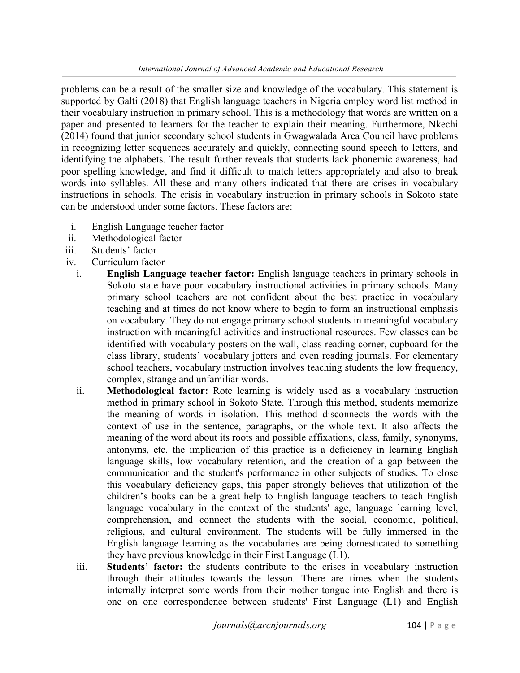problems can be a result of the smaller size and knowledge of the vocabulary. This statement is supported by Galti (2018) that English language teachers in Nigeria employ word list method in their vocabulary instruction in primary school. This is a methodology that words are written on a paper and presented to learners for the teacher to explain their meaning. Furthermore, Nkechi (2014) found that junior secondary school students in Gwagwalada Area Council have problems in recognizing letter sequences accurately and quickly, connecting sound speech to letters, and identifying the alphabets. The result further reveals that students lack phonemic awareness, had poor spelling knowledge, and find it difficult to match letters appropriately and also to break words into syllables. All these and many others indicated that there are crises in vocabulary instructions in schools. The crisis in vocabulary instruction in primary schools in Sokoto state can be understood under some factors. These factors are:

- i. English Language teacher factor
- ii. Methodological factor
- iii. Students' factor
- iv. Curriculum factor
	- i. English Language teacher factor: English language teachers in primary schools in Sokoto state have poor vocabulary instructional activities in primary schools. Many primary school teachers are not confident about the best practice in vocabulary teaching and at times do not know where to begin to form an instructional emphasis on vocabulary. They do not engage primary school students in meaningful vocabulary instruction with meaningful activities and instructional resources. Few classes can be identified with vocabulary posters on the wall, class reading corner, cupboard for the class library, students' vocabulary jotters and even reading journals. For elementary school teachers, vocabulary instruction involves teaching students the low frequency, complex, strange and unfamiliar words.
	- ii. Methodological factor: Rote learning is widely used as a vocabulary instruction method in primary school in Sokoto State. Through this method, students memorize the meaning of words in isolation. This method disconnects the words with the context of use in the sentence, paragraphs, or the whole text. It also affects the meaning of the word about its roots and possible affixations, class, family, synonyms, antonyms, etc. the implication of this practice is a deficiency in learning English language skills, low vocabulary retention, and the creation of a gap between the communication and the student's performance in other subjects of studies. To close this vocabulary deficiency gaps, this paper strongly believes that utilization of the children's books can be a great help to English language teachers to teach English language vocabulary in the context of the students' age, language learning level, comprehension, and connect the students with the social, economic, political, religious, and cultural environment. The students will be fully immersed in the English language learning as the vocabularies are being domesticated to something they have previous knowledge in their First Language (L1).
	- iii. Students' factor: the students contribute to the crises in vocabulary instruction through their attitudes towards the lesson. There are times when the students internally interpret some words from their mother tongue into English and there is one on one correspondence between students' First Language (L1) and English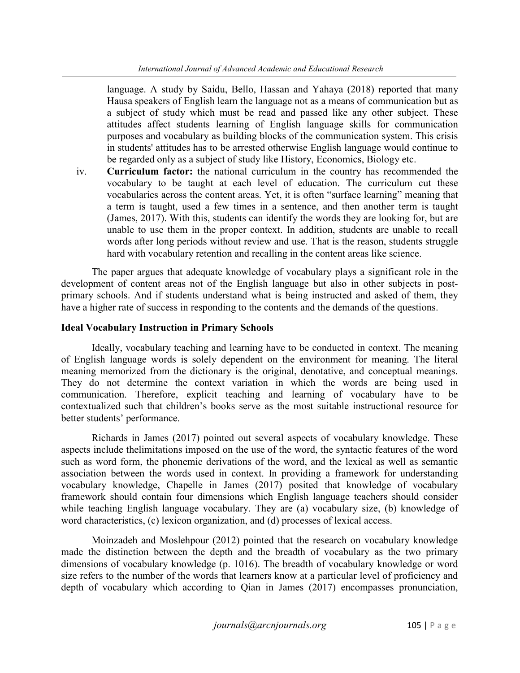language. A study by Saidu, Bello, Hassan and Yahaya (2018) reported that many Hausa speakers of English learn the language not as a means of communication but as a subject of study which must be read and passed like any other subject. These attitudes affect students learning of English language skills for communication purposes and vocabulary as building blocks of the communication system. This crisis in students' attitudes has to be arrested otherwise English language would continue to be regarded only as a subject of study like History, Economics, Biology etc.

iv. Curriculum factor: the national curriculum in the country has recommended the vocabulary to be taught at each level of education. The curriculum cut these vocabularies across the content areas. Yet, it is often "surface learning" meaning that a term is taught, used a few times in a sentence, and then another term is taught (James, 2017). With this, students can identify the words they are looking for, but are unable to use them in the proper context. In addition, students are unable to recall words after long periods without review and use. That is the reason, students struggle hard with vocabulary retention and recalling in the content areas like science.

The paper argues that adequate knowledge of vocabulary plays a significant role in the development of content areas not of the English language but also in other subjects in postprimary schools. And if students understand what is being instructed and asked of them, they have a higher rate of success in responding to the contents and the demands of the questions.

#### Ideal Vocabulary Instruction in Primary Schools

Ideally, vocabulary teaching and learning have to be conducted in context. The meaning of English language words is solely dependent on the environment for meaning. The literal meaning memorized from the dictionary is the original, denotative, and conceptual meanings. They do not determine the context variation in which the words are being used in communication. Therefore, explicit teaching and learning of vocabulary have to be contextualized such that children's books serve as the most suitable instructional resource for better students' performance.

Richards in James (2017) pointed out several aspects of vocabulary knowledge. These aspects include thelimitations imposed on the use of the word, the syntactic features of the word such as word form, the phonemic derivations of the word, and the lexical as well as semantic association between the words used in context. In providing a framework for understanding vocabulary knowledge, Chapelle in James (2017) posited that knowledge of vocabulary framework should contain four dimensions which English language teachers should consider while teaching English language vocabulary. They are (a) vocabulary size, (b) knowledge of word characteristics, (c) lexicon organization, and (d) processes of lexical access.

Moinzadeh and Moslehpour (2012) pointed that the research on vocabulary knowledge made the distinction between the depth and the breadth of vocabulary as the two primary dimensions of vocabulary knowledge (p. 1016). The breadth of vocabulary knowledge or word size refers to the number of the words that learners know at a particular level of proficiency and depth of vocabulary which according to Qian in James (2017) encompasses pronunciation,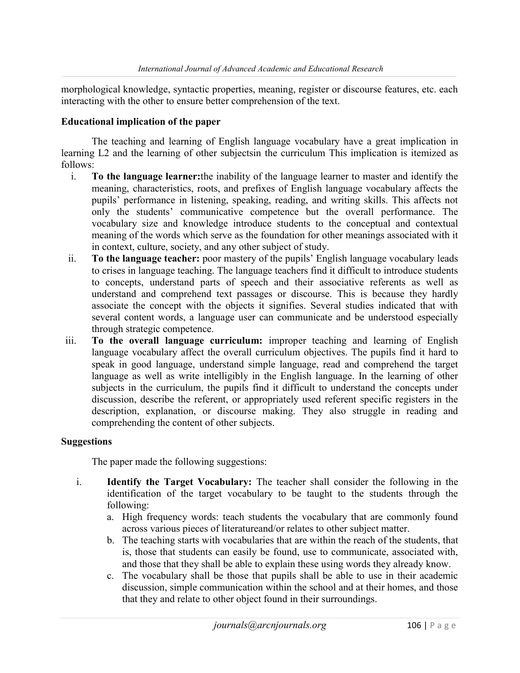morphological knowledge, syntactic properties, meaning, register or discourse features, etc. each interacting with the other to ensure better comprehension of the text.

## Educational implication of the paper

 The teaching and learning of English language vocabulary have a great implication in learning L2 and the learning of other subjectsin the curriculum This implication is itemized as follows:

- i. To the language learner:the inability of the language learner to master and identify the meaning, characteristics, roots, and prefixes of English language vocabulary affects the pupils' performance in listening, speaking, reading, and writing skills. This affects not only the students' communicative competence but the overall performance. The vocabulary size and knowledge introduce students to the conceptual and contextual meaning of the words which serve as the foundation for other meanings associated with it in context, culture, society, and any other subject of study.
- ii. To the language teacher: poor mastery of the pupils' English language vocabulary leads to crises in language teaching. The language teachers find it difficult to introduce students to concepts, understand parts of speech and their associative referents as well as understand and comprehend text passages or discourse. This is because they hardly associate the concept with the objects it signifies. Several studies indicated that with several content words, a language user can communicate and be understood especially through strategic competence.
- iii. To the overall language curriculum: improper teaching and learning of English language vocabulary affect the overall curriculum objectives. The pupils find it hard to speak in good language, understand simple language, read and comprehend the target language as well as write intelligibly in the English language. In the learning of other subjects in the curriculum, the pupils find it difficult to understand the concepts under discussion, describe the referent, or appropriately used referent specific registers in the description, explanation, or discourse making. They also struggle in reading and comprehending the content of other subjects.

## Suggestions

The paper made the following suggestions:

- i. Identify the Target Vocabulary: The teacher shall consider the following in the identification of the target vocabulary to be taught to the students through the following:
	- a. High frequency words: teach students the vocabulary that are commonly found across various pieces of literatureand/or relates to other subject matter.
	- b. The teaching starts with vocabularies that are within the reach of the students, that is, those that students can easily be found, use to communicate, associated with, and those that they shall be able to explain these using words they already know.
	- c. The vocabulary shall be those that pupils shall be able to use in their academic discussion, simple communication within the school and at their homes, and those that they and relate to other object found in their surroundings.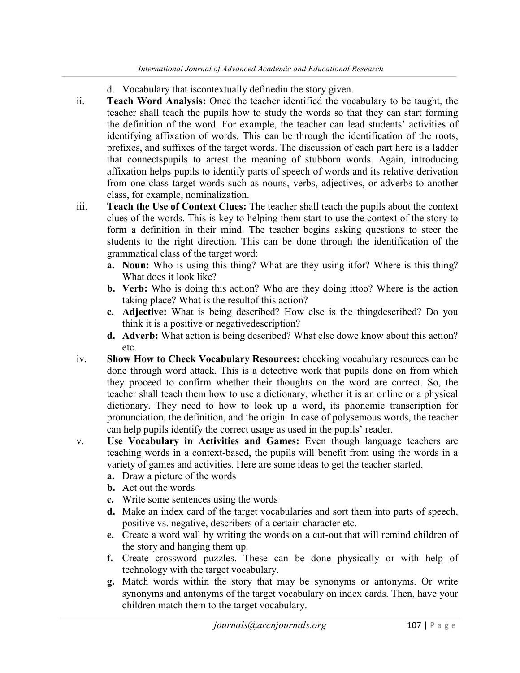- d. Vocabulary that iscontextually definedin the story given.
- ii. Teach Word Analysis: Once the teacher identified the vocabulary to be taught, the teacher shall teach the pupils how to study the words so that they can start forming the definition of the word. For example, the teacher can lead students' activities of identifying affixation of words. This can be through the identification of the roots, prefixes, and suffixes of the target words. The discussion of each part here is a ladder that connectspupils to arrest the meaning of stubborn words. Again, introducing affixation helps pupils to identify parts of speech of words and its relative derivation from one class target words such as nouns, verbs, adjectives, or adverbs to another class, for example, nominalization.
- iii. Teach the Use of Context Clues: The teacher shall teach the pupils about the context clues of the words. This is key to helping them start to use the context of the story to form a definition in their mind. The teacher begins asking questions to steer the students to the right direction. This can be done through the identification of the grammatical class of the target word:
	- a. Noun: Who is using this thing? What are they using itfor? Where is this thing? What does it look like?
	- b. Verb: Who is doing this action? Who are they doing ittoo? Where is the action taking place? What is the resultof this action?
	- c. Adjective: What is being described? How else is the thingdescribed? Do you think it is a positive or negativedescription?
	- d. Adverb: What action is being described? What else dowe know about this action? etc.
- iv. Show How to Check Vocabulary Resources: checking vocabulary resources can be done through word attack. This is a detective work that pupils done on from which they proceed to confirm whether their thoughts on the word are correct. So, the teacher shall teach them how to use a dictionary, whether it is an online or a physical dictionary. They need to how to look up a word, its phonemic transcription for pronunciation, the definition, and the origin. In case of polysemous words, the teacher can help pupils identify the correct usage as used in the pupils' reader.
- v. Use Vocabulary in Activities and Games: Even though language teachers are teaching words in a context-based, the pupils will benefit from using the words in a variety of games and activities. Here are some ideas to get the teacher started.
	- a. Draw a picture of the words
	- b. Act out the words
	- c. Write some sentences using the words
	- d. Make an index card of the target vocabularies and sort them into parts of speech, positive vs. negative, describers of a certain character etc.
	- e. Create a word wall by writing the words on a cut-out that will remind children of the story and hanging them up.
	- f. Create crossword puzzles. These can be done physically or with help of technology with the target vocabulary.
	- g. Match words within the story that may be synonyms or antonyms. Or write synonyms and antonyms of the target vocabulary on index cards. Then, have your children match them to the target vocabulary.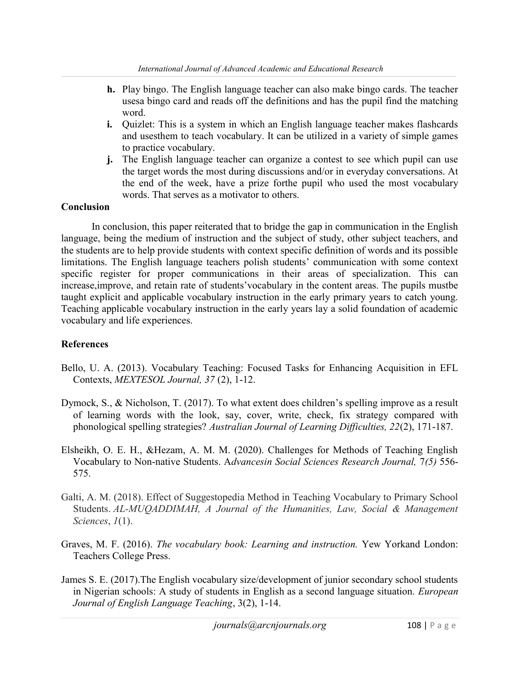- h. Play bingo. The English language teacher can also make bingo cards. The teacher usesa bingo card and reads off the definitions and has the pupil find the matching word.
- i. Quizlet: This is a system in which an English language teacher makes flashcards and usesthem to teach vocabulary. It can be utilized in a variety of simple games to practice vocabulary.
- j. The English language teacher can organize a contest to see which pupil can use the target words the most during discussions and/or in everyday conversations. At the end of the week, have a prize forthe pupil who used the most vocabulary words. That serves as a motivator to others.

#### **Conclusion**

In conclusion, this paper reiterated that to bridge the gap in communication in the English language, being the medium of instruction and the subject of study, other subject teachers, and the students are to help provide students with context specific definition of words and its possible limitations. The English language teachers polish students' communication with some context specific register for proper communications in their areas of specialization. This can increase,improve, and retain rate of students'vocabulary in the content areas. The pupils mustbe taught explicit and applicable vocabulary instruction in the early primary years to catch young. Teaching applicable vocabulary instruction in the early years lay a solid foundation of academic vocabulary and life experiences.

## References

- Bello, U. A. (2013). Vocabulary Teaching: Focused Tasks for Enhancing Acquisition in EFL Contexts, MEXTESOL Journal, 37 (2), 1-12.
- Dymock, S., & Nicholson, T. (2017). To what extent does children's spelling improve as a result of learning words with the look, say, cover, write, check, fix strategy compared with phonological spelling strategies? Australian Journal of Learning Difficulties, 22(2), 171-187.
- Elsheikh, O. E. H., &Hezam, A. M. M. (2020). Challenges for Methods of Teaching English Vocabulary to Non-native Students. Advancesin Social Sciences Research Journal, 7(5) 556- 575.
- Galti, A. M. (2018). Effect of Suggestopedia Method in Teaching Vocabulary to Primary School Students. AL-MUQADDIMAH, A Journal of the Humanities, Law, Social & Management Sciences,  $1(1)$ .
- Graves, M. F. (2016). The vocabulary book: Learning and instruction. Yew Yorkand London: Teachers College Press.
- James S. E. (2017).The English vocabulary size/development of junior secondary school students in Nigerian schools: A study of students in English as a second language situation. European Journal of English Language Teaching, 3(2), 1-14.